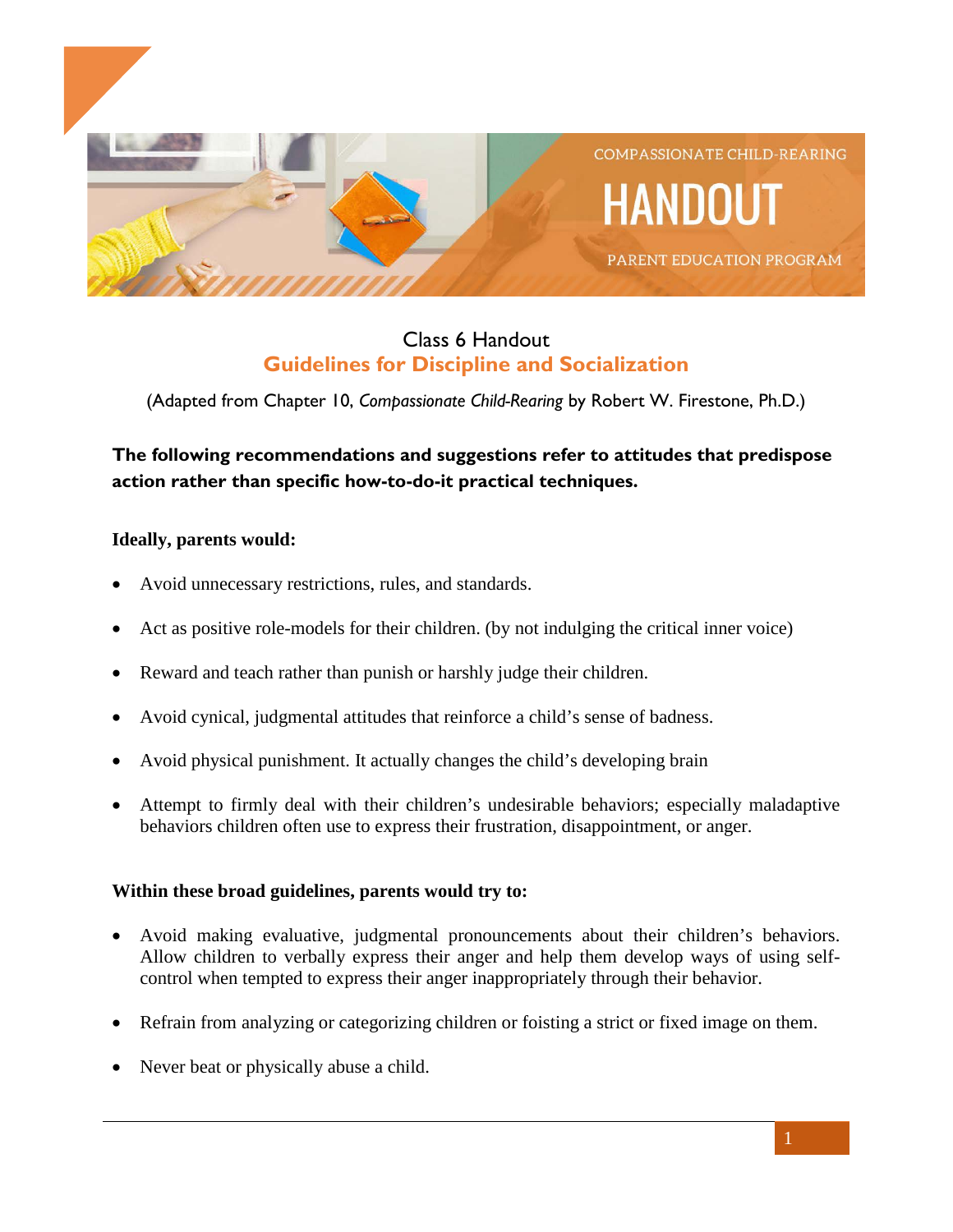

## Class 6 Handout **Guidelines for Discipline and Socialization**

(Adapted from Chapter 10, *Compassionate Child-Rearing* by Robert W. Firestone, Ph.D.)

# **The following recommendations and suggestions refer to attitudes that predispose action rather than specific how-to-do-it practical techniques.**

### **Ideally, parents would:**

- Avoid unnecessary restrictions, rules, and standards.
- Act as positive role-models for their children. (by not indulging the critical inner voice)
- Reward and teach rather than punish or harshly judge their children.
- Avoid cynical, judgmental attitudes that reinforce a child's sense of badness.
- Avoid physical punishment. It actually changes the child's developing brain
- Attempt to firmly deal with their children's undesirable behaviors; especially maladaptive behaviors children often use to express their frustration, disappointment, or anger.

### **Within these broad guidelines, parents would try to:**

- Avoid making evaluative, judgmental pronouncements about their children's behaviors. Allow children to verbally express their anger and help them develop ways of using selfcontrol when tempted to express their anger inappropriately through their behavior.
- Refrain from analyzing or categorizing children or foisting a strict or fixed image on them.
- Never beat or physically abuse a child.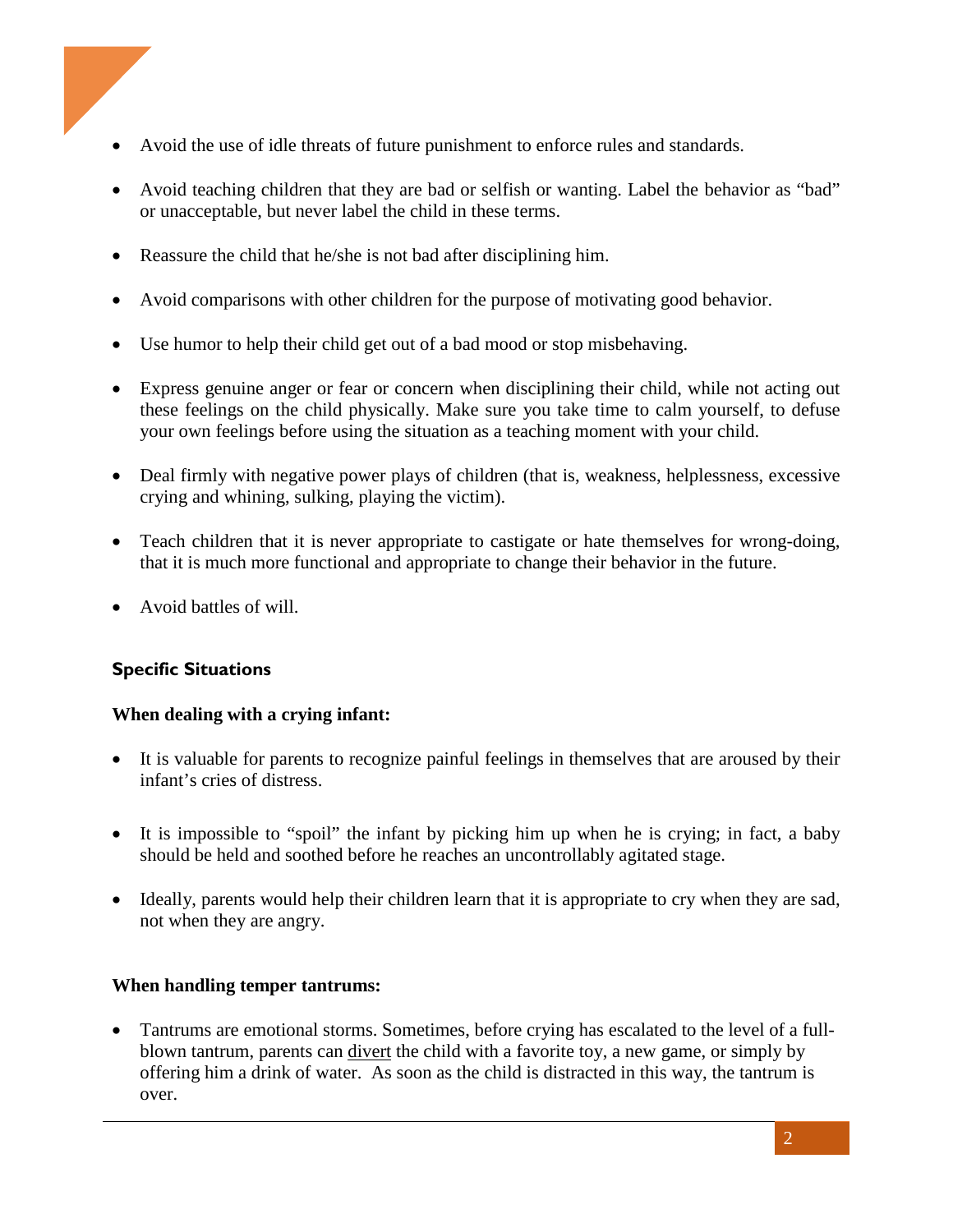

- Avoid the use of idle threats of future punishment to enforce rules and standards.
- Avoid teaching children that they are bad or selfish or wanting. Label the behavior as "bad" or unacceptable, but never label the child in these terms.
- Reassure the child that he/she is not bad after disciplining him.
- Avoid comparisons with other children for the purpose of motivating good behavior.
- Use humor to help their child get out of a bad mood or stop misbehaving.
- Express genuine anger or fear or concern when disciplining their child, while not acting out these feelings on the child physically. Make sure you take time to calm yourself, to defuse your own feelings before using the situation as a teaching moment with your child.
- Deal firmly with negative power plays of children (that is, weakness, helplessness, excessive crying and whining, sulking, playing the victim).
- Teach children that it is never appropriate to castigate or hate themselves for wrong-doing, that it is much more functional and appropriate to change their behavior in the future.
- Avoid battles of will.

## **Specific Situations**

### **When dealing with a crying infant:**

- It is valuable for parents to recognize painful feelings in themselves that are aroused by their infant's cries of distress.
- It is impossible to "spoil" the infant by picking him up when he is crying; in fact, a baby should be held and soothed before he reaches an uncontrollably agitated stage.
- Ideally, parents would help their children learn that it is appropriate to cry when they are sad, not when they are angry.

### **When handling temper tantrums:**

• Tantrums are emotional storms. Sometimes, before crying has escalated to the level of a fullblown tantrum, parents can divert the child with a favorite toy, a new game, or simply by offering him a drink of water. As soon as the child is distracted in this way, the tantrum is over.